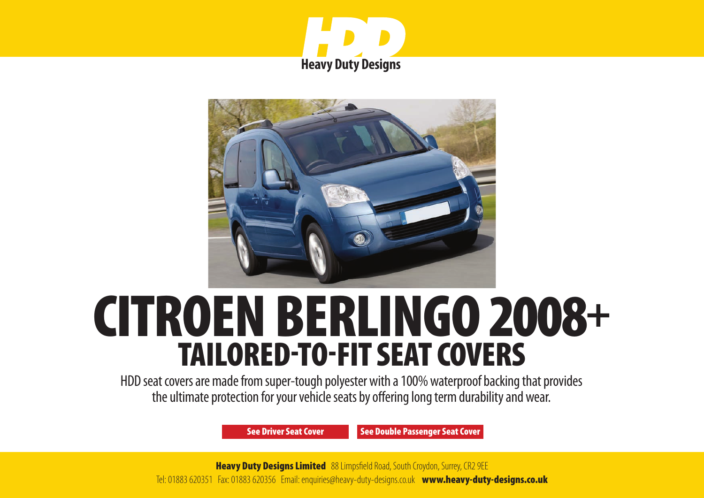



# CITROEN BERLINGO 2008+ TAILORED-TO-FIT SEAT COVERS

HDD seat covers are made from super-tough polyester with a 100% waterproof backing that provides the ultimate protection for your vehicle seats by offering long term durability and wear.

[See Driver Seat Cover](#page-1-0) [See Double Passenger Seat Cover](#page-2-0)

**Heavy Duty Designs Limited** 88 Limpsfield Road, South Croydon, Surrey, CR2 9EE Tel: 01883 620351 Fax: 01883 620356 Email: enquiries@heavy-duty-designs.co.uk www.heavy-duty-designs.co.uk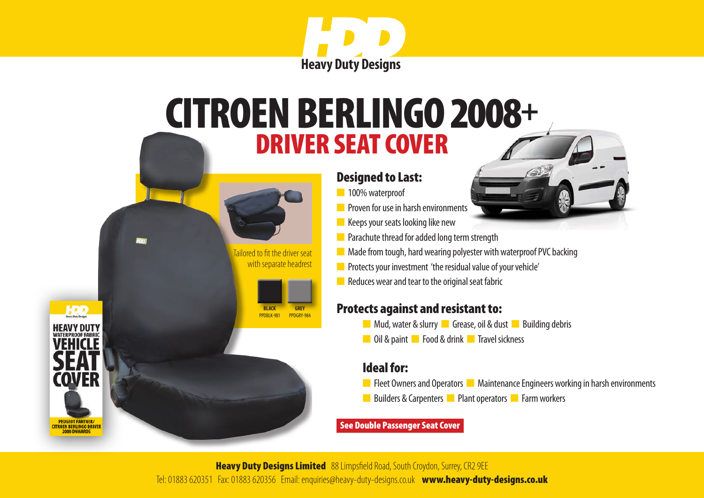

### <span id="page-1-0"></span>DRIVER SEAT COVER CITROEN BERLINGO 2008+

 Tailored to fit the driver seat with separate headrest

> **BLACK** PPDBLK-981

**HDD** 

**ITROEN BERLINGO DRIVER** 

**GREY** PPDGRY-984

#### Designed to Last:

- n 100% waterproof
- **n** Proven for use in harsh environments
- $\blacksquare$  Keeps your seats looking like new
- $\blacksquare$  Parachute thread for added long term strength
- $\blacksquare$  Made from tough, hard wearing polyester with waterproof PVC backing
- **n** Protects your investment 'the residual value of your vehicle'
- $\blacksquare$  Reduces wear and tear to the original seat fabric

### Protects against and resistant to:

- **n** Mud, water & slurry **n** Grease, oil & dust **n** Building debris
- **n** Oil & paint **n** Food & drink **n** Travel sickness

### Ideal for:

- **n** Fleet Owners and Operators **n** Maintenance Engineers working in harsh environments
- n Builders & Carpenters **n** Plant operators **n** Farm workers

#### [See Double Passenger Seat Cover](#page-2-0)